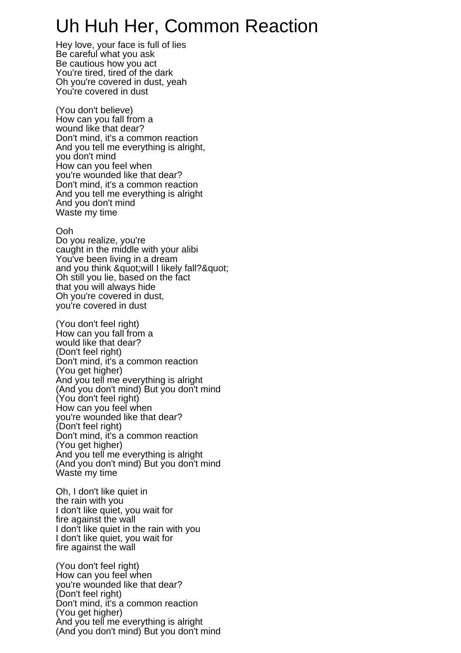## Uh Huh Her, Common Reaction

Hey love, your face is full of lies Be careful what you ask Be cautious how you act You're tired, tired of the dark Oh you're covered in dust, yeah You're covered in dust

(You don't believe) How can you fall from a wound like that dear? Don't mind, it's a common reaction And you tell me everything is alright, you don't mind How can you feel when you're wounded like that dear? Don't mind, it's a common reaction And you tell me everything is alright And you don't mind Waste my time

## Ooh

Do you realize, you're caught in the middle with your alibi You've been living in a dream and you think & quot; will I likely fall? & quot; Oh still you lie, based on the fact that you will always hide Oh you're covered in dust, you're covered in dust

(You don't feel right) How can you fall from a would like that dear? (Don't feel right) Don't mind, it's a common reaction (You get higher) And you tell me everything is alright (And you don't mind) But you don't mind (You don't feel right) How can you feel when you're wounded like that dear? (Don't feel right) Don't mind, it's a common reaction (You get higher) And you tell me everything is alright (And you don't mind) But you don't mind Waste my time

Oh, I don't like quiet in the rain with you I don't like quiet, you wait for fire against the wall I don't like quiet in the rain with you I don't like quiet, you wait for fire against the wall

(You don't feel right) How can you feel when you're wounded like that dear? (Don't feel right) Don't mind, it's a common reaction (You get higher) And you tell me everything is alright (And you don't mind) But you don't mind